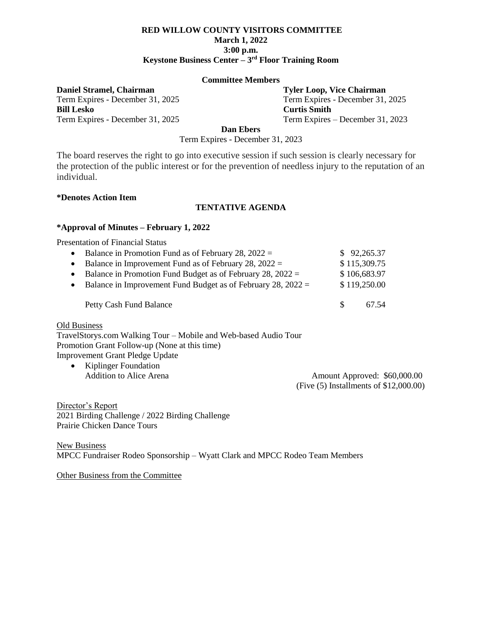### **RED WILLOW COUNTY VISITORS COMMITTEE March 1, 2022 3:00 p.m. Keystone Business Center – 3 rd Floor Training Room**

#### **Committee Members**

**Daniel Stramel, Chairman Tyler Loop, Vice Chairman**

**Bill Lesko Curtis Smith**

Term Expires - December 31, 2025 Term Expires - December 31, 2025 Term Expires - December 31, 2025 Term Expires – December 31, 2023

**Dan Ebers**

Term Expires - December 31, 2023

The board reserves the right to go into executive session if such session is clearly necessary for the protection of the public interest or for the prevention of needless injury to the reputation of an individual.

#### **\*Denotes Action Item**

## **TENTATIVE AGENDA**

### **\*Approval of Minutes – February 1, 2022**

Presentation of Financial Status

| • Balance in Promotion Fund as of February 28, $2022 =$          |     | \$92,265.37  |
|------------------------------------------------------------------|-----|--------------|
| • Balance in Improvement Fund as of February 28, $2022 =$        |     | \$115,309.75 |
| • Balance in Promotion Fund Budget as of February 28, $2022 =$   |     | \$106,683.97 |
| • Balance in Improvement Fund Budget as of February 28, $2022 =$ |     | \$119,250.00 |
|                                                                  |     |              |
| <b>Petty Cash Fund Balance</b>                                   | -SS | 67.54        |
|                                                                  |     |              |

Old Business

TravelStorys.com Walking Tour – Mobile and Web-based Audio Tour Promotion Grant Follow-up (None at this time) Improvement Grant Pledge Update

• Kiplinger Foundation

Addition to Alice Arena Amount Approved: \$60,000.00 (Five (5) Installments of \$12,000.00)

Director's Report 2021 Birding Challenge / 2022 Birding Challenge Prairie Chicken Dance Tours

New Business MPCC Fundraiser Rodeo Sponsorship – Wyatt Clark and MPCC Rodeo Team Members

Other Business from the Committee